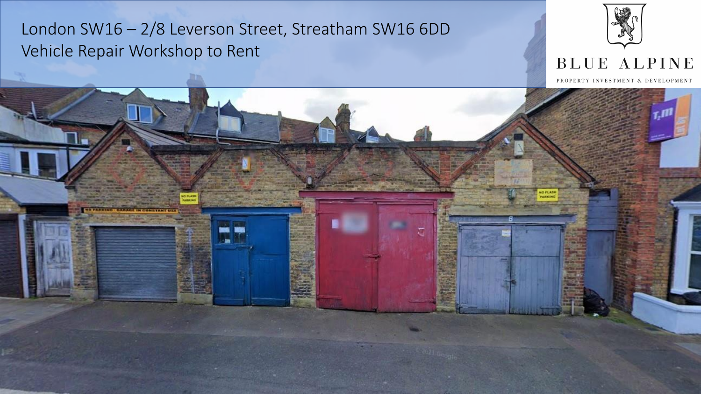

### **BLUE ALPINE**

PROPERTY INVESTMENT & DEVELOPMENT

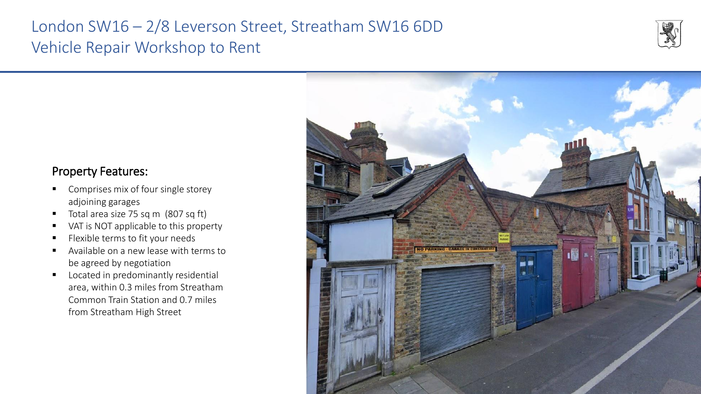

# Property Features:

- Comprises mix of four single storey adjoining garages
- Total area size 75 sq m (807 sq ft)
- VAT is NOT applicable to this property
- Flexible terms to fit your needs
- Available on a new lease with terms to be agreed by negotiation
- Located in predominantly residential area, within 0.3 miles from Streatham Common Train Station and 0.7 miles from Streatham High Street

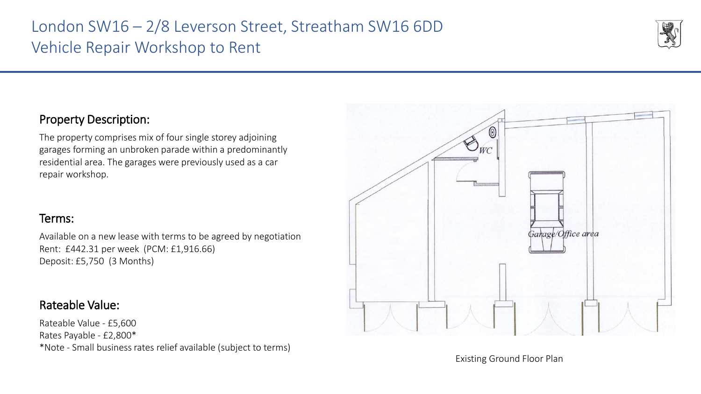

#### Property Description:

The property comprises mix of four single storey adjoining garages forming an unbroken parade within a predominantly residential area. The garages were previously used as a car repair workshop.

#### Terms:

Available on a new lease with terms to be agreed by negotiation Rent: £442.31 per week (PCM: £1,916.66) Deposit: £5,750 (3 Months)

#### Rateable Value:

Rateable Value - £5,600 Rates Payable - £2,800\* \*Note - Small business rates relief available (subject to terms)



Existing Ground Floor Plan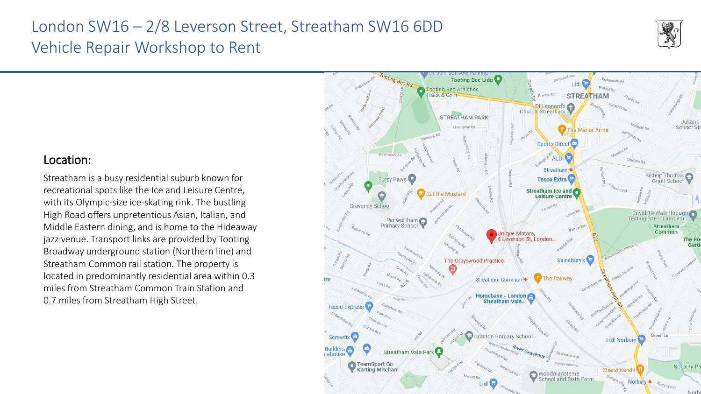

#### Location:

Streatham is a busy residential suburb known for recreational spots like the Ice and Leisure Centre, with its Olympic-size ice-skating rink. The bustling High Road offers unpretentious Asian, Italian, and Middle Eastern dining, and is home to the Hideaway jazz venue. Transport links are provided by Tooting Broadway underground station (Northern line) and Streatham Common rail station. The property is located in predominantly residential area within 0.3 miles from Streatham Common Train Station and 0.7 miles from Streatham High Street.